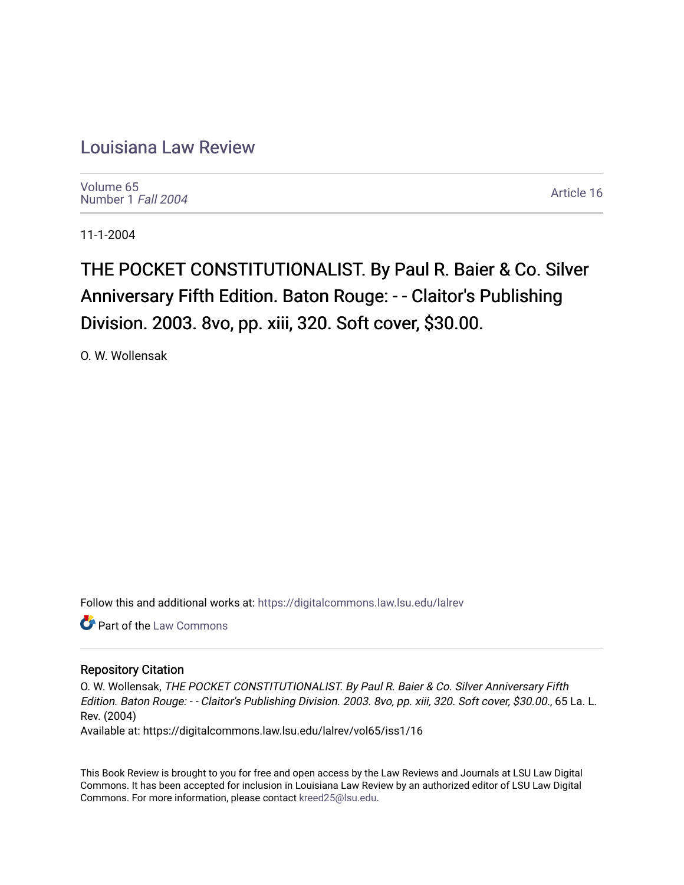## [Louisiana Law Review](https://digitalcommons.law.lsu.edu/lalrev)

[Volume 65](https://digitalcommons.law.lsu.edu/lalrev/vol65) [Number 1](https://digitalcommons.law.lsu.edu/lalrev/vol65/iss1) Fall 2004

[Article 16](https://digitalcommons.law.lsu.edu/lalrev/vol65/iss1/16) 

11-1-2004

THE POCKET CONSTITUTIONALIST. By Paul R. Baier & Co. Silver Anniversary Fifth Edition. Baton Rouge: - - Claitor's Publishing Division. 2003. 8vo, pp. xiii, 320. Soft cover, \$30.00.

O. W. Wollensak

Follow this and additional works at: [https://digitalcommons.law.lsu.edu/lalrev](https://digitalcommons.law.lsu.edu/lalrev?utm_source=digitalcommons.law.lsu.edu%2Flalrev%2Fvol65%2Fiss1%2F16&utm_medium=PDF&utm_campaign=PDFCoverPages)

**Part of the [Law Commons](https://network.bepress.com/hgg/discipline/578?utm_source=digitalcommons.law.lsu.edu%2Flalrev%2Fvol65%2Fiss1%2F16&utm_medium=PDF&utm_campaign=PDFCoverPages)** 

## Repository Citation

O. W. Wollensak, THE POCKET CONSTITUTIONALIST. By Paul R. Baier & Co. Silver Anniversary Fifth Edition. Baton Rouge: - - Claitor's Publishing Division. 2003. 8vo, pp. xiii, 320. Soft cover, \$30.00., 65 La. L. Rev. (2004)

Available at: https://digitalcommons.law.lsu.edu/lalrev/vol65/iss1/16

This Book Review is brought to you for free and open access by the Law Reviews and Journals at LSU Law Digital Commons. It has been accepted for inclusion in Louisiana Law Review by an authorized editor of LSU Law Digital Commons. For more information, please contact [kreed25@lsu.edu](mailto:kreed25@lsu.edu).